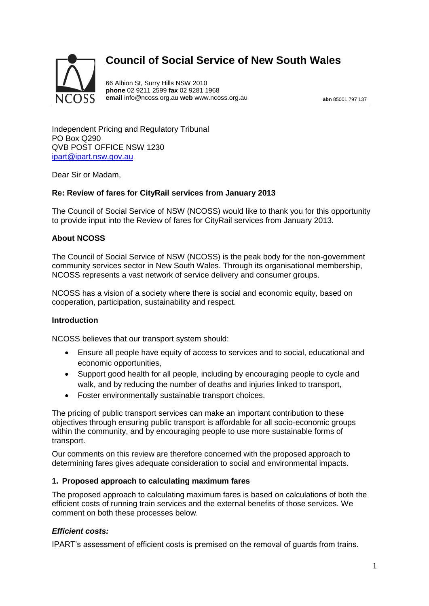# **Council of Social Service of New South Wales**



66 Albion St, Surry Hills NSW 2010 **phone** 02 9211 2599 **fax** 02 9281 1968 **email** info@ncoss.org.au **web** www.ncoss.org.au **abn** 85001 797 137

Independent Pricing and Regulatory Tribunal PO Box Q290 QVB POST OFFICE NSW 1230 [ipart@ipart.nsw.gov.au](mailto:ipart@ipart.nsw.gov.au)

Dear Sir or Madam,

### **Re: Review of fares for CityRail services from January 2013**

The Council of Social Service of NSW (NCOSS) would like to thank you for this opportunity to provide input into the Review of fares for CityRail services from January 2013.

## **About NCOSS**

The Council of Social Service of NSW (NCOSS) is the peak body for the non-government community services sector in New South Wales. Through its organisational membership, NCOSS represents a vast network of service delivery and consumer groups.

NCOSS has a vision of a society where there is social and economic equity, based on cooperation, participation, sustainability and respect.

#### **Introduction**

NCOSS believes that our transport system should:

- Ensure all people have equity of access to services and to social, educational and economic opportunities,
- Support good health for all people, including by encouraging people to cycle and walk, and by reducing the number of deaths and injuries linked to transport,
- Foster environmentally sustainable transport choices.

The pricing of public transport services can make an important contribution to these objectives through ensuring public transport is affordable for all socio-economic groups within the community, and by encouraging people to use more sustainable forms of transport.

Our comments on this review are therefore concerned with the proposed approach to determining fares gives adequate consideration to social and environmental impacts.

#### **1. Proposed approach to calculating maximum fares**

The proposed approach to calculating maximum fares is based on calculations of both the efficient costs of running train services and the external benefits of those services. We comment on both these processes below.

#### *Efficient costs:*

IPART's assessment of efficient costs is premised on the removal of guards from trains.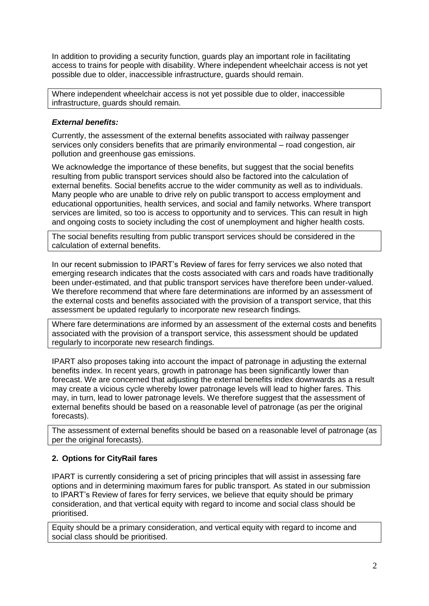In addition to providing a security function, guards play an important role in facilitating access to trains for people with disability. Where independent wheelchair access is not yet possible due to older, inaccessible infrastructure, guards should remain.

Where independent wheelchair access is not yet possible due to older, inaccessible infrastructure, guards should remain.

## *External benefits:*

Currently, the assessment of the external benefits associated with railway passenger services only considers benefits that are primarily environmental – road congestion, air pollution and greenhouse gas emissions.

We acknowledge the importance of these benefits, but suggest that the social benefits resulting from public transport services should also be factored into the calculation of external benefits. Social benefits accrue to the wider community as well as to individuals. Many people who are unable to drive rely on public transport to access employment and educational opportunities, health services, and social and family networks. Where transport services are limited, so too is access to opportunity and to services. This can result in high and ongoing costs to society including the cost of unemployment and higher health costs.

The social benefits resulting from public transport services should be considered in the calculation of external benefits.

In our recent submission to IPART's Review of fares for ferry services we also noted that emerging research indicates that the costs associated with cars and roads have traditionally been under-estimated, and that public transport services have therefore been under-valued. We therefore recommend that where fare determinations are informed by an assessment of the external costs and benefits associated with the provision of a transport service, that this assessment be updated regularly to incorporate new research findings.

Where fare determinations are informed by an assessment of the external costs and benefits associated with the provision of a transport service, this assessment should be updated regularly to incorporate new research findings.

IPART also proposes taking into account the impact of patronage in adjusting the external benefits index. In recent years, growth in patronage has been significantly lower than forecast. We are concerned that adjusting the external benefits index downwards as a result may create a vicious cycle whereby lower patronage levels will lead to higher fares. This may, in turn, lead to lower patronage levels. We therefore suggest that the assessment of external benefits should be based on a reasonable level of patronage (as per the original forecasts).

The assessment of external benefits should be based on a reasonable level of patronage (as per the original forecasts).

## **2. Options for CityRail fares**

IPART is currently considering a set of pricing principles that will assist in assessing fare options and in determining maximum fares for public transport. As stated in our submission to IPART's Review of fares for ferry services, we believe that equity should be primary consideration, and that vertical equity with regard to income and social class should be prioritised.

Equity should be a primary consideration, and vertical equity with regard to income and social class should be prioritised.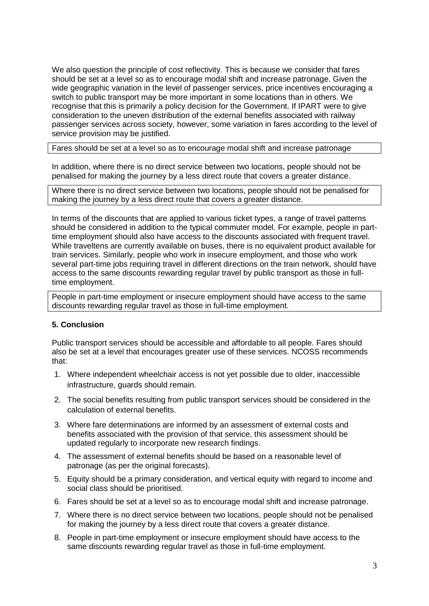We also question the principle of cost reflectivity. This is because we consider that fares should be set at a level so as to encourage modal shift and increase patronage. Given the wide geographic variation in the level of passenger services, price incentives encouraging a switch to public transport may be more important in some locations than in others. We recognise that this is primarily a policy decision for the Government. If IPART were to give consideration to the uneven distribution of the external benefits associated with railway passenger services across society, however, some variation in fares according to the level of service provision may be justified.

Fares should be set at a level so as to encourage modal shift and increase patronage

In addition, where there is no direct service between two locations, people should not be penalised for making the journey by a less direct route that covers a greater distance.

Where there is no direct service between two locations, people should not be penalised for making the journey by a less direct route that covers a greater distance.

In terms of the discounts that are applied to various ticket types, a range of travel patterns should be considered in addition to the typical commuter model. For example, people in parttime employment should also have access to the discounts associated with frequent travel. While traveltens are currently available on buses, there is no equivalent product available for train services. Similarly, people who work in insecure employment, and those who work several part-time jobs requiring travel in different directions on the train network, should have access to the same discounts rewarding regular travel by public transport as those in fulltime employment.

People in part-time employment or insecure employment should have access to the same discounts rewarding regular travel as those in full-time employment.

## **5. Conclusion**

Public transport services should be accessible and affordable to all people. Fares should also be set at a level that encourages greater use of these services. NCOSS recommends that:

- 1. Where independent wheelchair access is not yet possible due to older, inaccessible infrastructure, guards should remain.
- 2. The social benefits resulting from public transport services should be considered in the calculation of external benefits.
- 3. Where fare determinations are informed by an assessment of external costs and benefits associated with the provision of that service, this assessment should be updated regularly to incorporate new research findings.
- 4. The assessment of external benefits should be based on a reasonable level of patronage (as per the original forecasts).
- 5. Equity should be a primary consideration, and vertical equity with regard to income and social class should be prioritised.
- 6. Fares should be set at a level so as to encourage modal shift and increase patronage.
- 7. Where there is no direct service between two locations, people should not be penalised for making the journey by a less direct route that covers a greater distance.
- 8. People in part-time employment or insecure employment should have access to the same discounts rewarding regular travel as those in full-time employment.